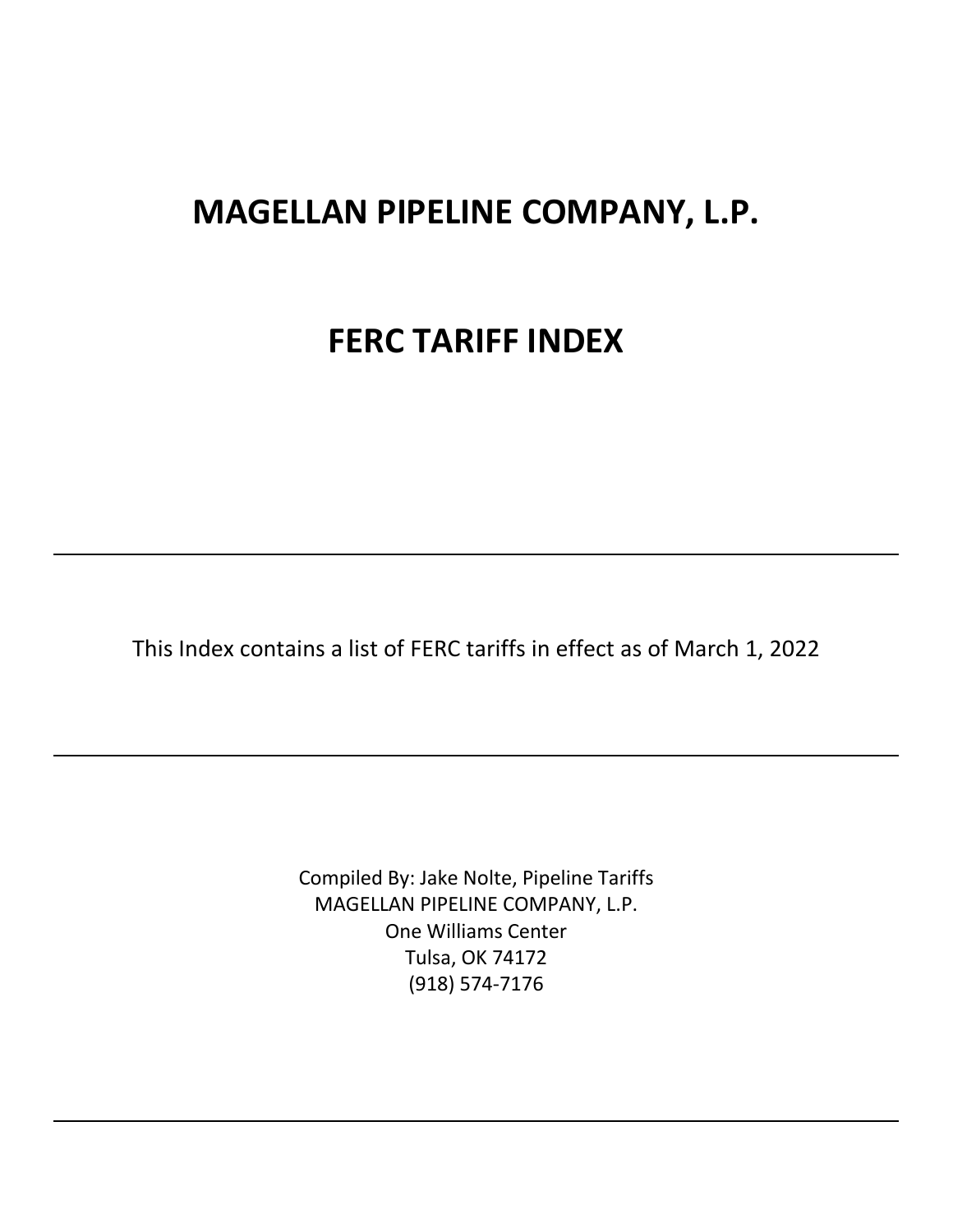# **MAGELLAN PIPELINE COMPANY, L.P.**

# **FERC TARIFF INDEX**

This Index contains a list of FERC tariffs in effect as of March 1, 2022

Compiled By: Jake Nolte, Pipeline Tariffs MAGELLAN PIPELINE COMPANY, L.P. One Williams Center Tulsa, OK 74172 (918) 574-7176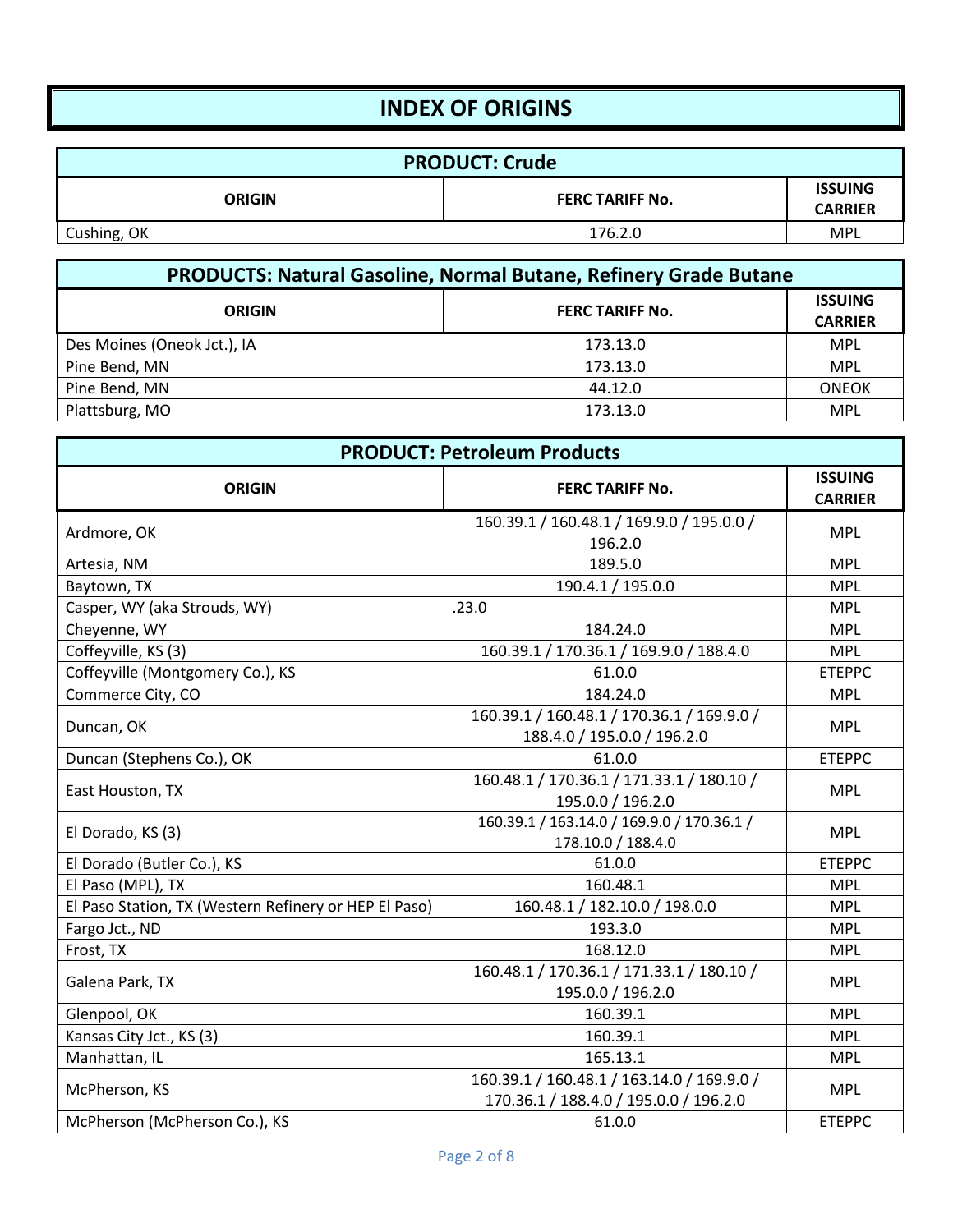### **INDEX OF ORIGINS**

| <b>PRODUCT: Crude</b> |                        |                                  |
|-----------------------|------------------------|----------------------------------|
| <b>ORIGIN</b>         | <b>FERC TARIFF No.</b> | <b>ISSUING</b><br><b>CARRIER</b> |
| Cushing, OK           | 176.2.0                | MPL                              |

| <b>PRODUCTS: Natural Gasoline, Normal Butane, Refinery Grade Butane</b> |                        |                                  |
|-------------------------------------------------------------------------|------------------------|----------------------------------|
| <b>ORIGIN</b>                                                           | <b>FERC TARIFF No.</b> | <b>ISSUING</b><br><b>CARRIER</b> |
| Des Moines (Oneok Jct.), IA                                             | 173.13.0               | <b>MPL</b>                       |
| Pine Bend, MN                                                           | 173.13.0               | <b>MPL</b>                       |
| Pine Bend, MN                                                           | 44.12.0                | <b>ONEOK</b>                     |
| Plattsburg, MO                                                          | 173.13.0               | <b>MPL</b>                       |

| <b>PRODUCT: Petroleum Products</b>                    |                                                                                      |                                  |
|-------------------------------------------------------|--------------------------------------------------------------------------------------|----------------------------------|
| <b>ORIGIN</b>                                         | <b>FERC TARIFF No.</b>                                                               | <b>ISSUING</b><br><b>CARRIER</b> |
| Ardmore, OK                                           | 160.39.1 / 160.48.1 / 169.9.0 / 195.0.0 /<br>196.2.0                                 | <b>MPL</b>                       |
| Artesia, NM                                           | 189.5.0                                                                              | <b>MPL</b>                       |
| Baytown, TX                                           | 190.4.1 / 195.0.0                                                                    | <b>MPL</b>                       |
| Casper, WY (aka Strouds, WY)                          | .23.0                                                                                | <b>MPL</b>                       |
| Cheyenne, WY                                          | 184.24.0                                                                             | <b>MPL</b>                       |
| Coffeyville, KS (3)                                   | 160.39.1 / 170.36.1 / 169.9.0 / 188.4.0                                              | <b>MPL</b>                       |
| Coffeyville (Montgomery Co.), KS                      | 61.0.0                                                                               | <b>ETEPPC</b>                    |
| Commerce City, CO                                     | 184.24.0                                                                             | <b>MPL</b>                       |
| Duncan, OK                                            | 160.39.1 / 160.48.1 / 170.36.1 / 169.9.0 /<br>188.4.0 / 195.0.0 / 196.2.0            | <b>MPL</b>                       |
| Duncan (Stephens Co.), OK                             | 61.0.0                                                                               | <b>ETEPPC</b>                    |
| East Houston, TX                                      | 160.48.1 / 170.36.1 / 171.33.1 / 180.10 /<br>195.0.0 / 196.2.0                       | <b>MPL</b>                       |
| El Dorado, KS (3)                                     | 160.39.1 / 163.14.0 / 169.9.0 / 170.36.1 /<br>178.10.0 / 188.4.0                     | <b>MPL</b>                       |
| El Dorado (Butler Co.), KS                            | 61.0.0                                                                               | <b>ETEPPC</b>                    |
| El Paso (MPL), TX                                     | 160.48.1                                                                             | <b>MPL</b>                       |
| El Paso Station, TX (Western Refinery or HEP El Paso) | 160.48.1 / 182.10.0 / 198.0.0                                                        | <b>MPL</b>                       |
| Fargo Jct., ND                                        | 193.3.0                                                                              | <b>MPL</b>                       |
| Frost, TX                                             | 168.12.0                                                                             | <b>MPL</b>                       |
| Galena Park, TX                                       | 160.48.1 / 170.36.1 / 171.33.1 / 180.10 /<br>195.0.0 / 196.2.0                       | <b>MPL</b>                       |
| Glenpool, OK                                          | 160.39.1                                                                             | <b>MPL</b>                       |
| Kansas City Jct., KS (3)                              | 160.39.1                                                                             | <b>MPL</b>                       |
| Manhattan, IL                                         | 165.13.1                                                                             | <b>MPL</b>                       |
| McPherson, KS                                         | 160.39.1 / 160.48.1 / 163.14.0 / 169.9.0 /<br>170.36.1 / 188.4.0 / 195.0.0 / 196.2.0 | <b>MPL</b>                       |
| McPherson (McPherson Co.), KS                         | 61.0.0                                                                               | <b>ETEPPC</b>                    |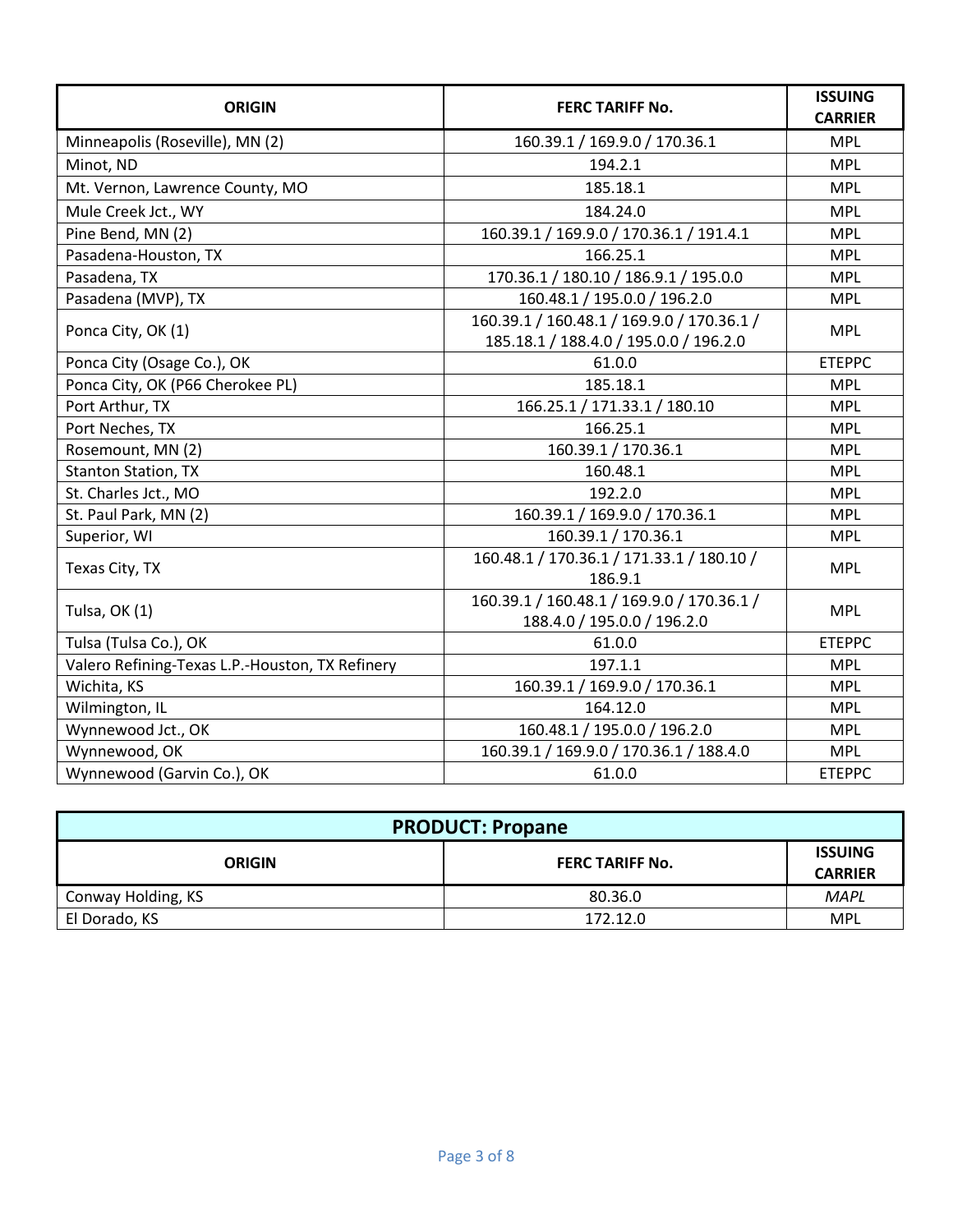| <b>ORIGIN</b>                                   | <b>FERC TARIFF No.</b>                                                               | <b>ISSUING</b><br><b>CARRIER</b> |
|-------------------------------------------------|--------------------------------------------------------------------------------------|----------------------------------|
| Minneapolis (Roseville), MN (2)                 | 160.39.1 / 169.9.0 / 170.36.1                                                        | <b>MPL</b>                       |
| Minot, ND                                       | 194.2.1                                                                              | <b>MPL</b>                       |
| Mt. Vernon, Lawrence County, MO                 | 185.18.1                                                                             | <b>MPL</b>                       |
| Mule Creek Jct., WY                             | 184.24.0                                                                             | <b>MPL</b>                       |
| Pine Bend, MN (2)                               | 160.39.1 / 169.9.0 / 170.36.1 / 191.4.1                                              | <b>MPL</b>                       |
| Pasadena-Houston, TX                            | 166.25.1                                                                             | <b>MPL</b>                       |
| Pasadena, TX                                    | 170.36.1 / 180.10 / 186.9.1 / 195.0.0                                                | <b>MPL</b>                       |
| Pasadena (MVP), TX                              | 160.48.1 / 195.0.0 / 196.2.0                                                         | <b>MPL</b>                       |
| Ponca City, OK (1)                              | 160.39.1 / 160.48.1 / 169.9.0 / 170.36.1 /<br>185.18.1 / 188.4.0 / 195.0.0 / 196.2.0 | <b>MPL</b>                       |
| Ponca City (Osage Co.), OK                      | 61.0.0                                                                               | <b>ETEPPC</b>                    |
| Ponca City, OK (P66 Cherokee PL)                | 185.18.1                                                                             | <b>MPL</b>                       |
| Port Arthur, TX                                 | 166.25.1 / 171.33.1 / 180.10                                                         | <b>MPL</b>                       |
| Port Neches, TX                                 | 166.25.1                                                                             | <b>MPL</b>                       |
| Rosemount, MN (2)                               | 160.39.1 / 170.36.1                                                                  | <b>MPL</b>                       |
| <b>Stanton Station, TX</b>                      | 160.48.1                                                                             | <b>MPL</b>                       |
| St. Charles Jct., MO                            | 192.2.0                                                                              | <b>MPL</b>                       |
| St. Paul Park, MN (2)                           | 160.39.1 / 169.9.0 / 170.36.1                                                        | <b>MPL</b>                       |
| Superior, WI                                    | 160.39.1 / 170.36.1                                                                  | <b>MPL</b>                       |
| Texas City, TX                                  | 160.48.1 / 170.36.1 / 171.33.1 / 180.10 /<br>186.9.1                                 | <b>MPL</b>                       |
| Tulsa, OK (1)                                   | 160.39.1 / 160.48.1 / 169.9.0 / 170.36.1 /<br>188.4.0 / 195.0.0 / 196.2.0            | <b>MPL</b>                       |
| Tulsa (Tulsa Co.), OK                           | 61.0.0                                                                               | <b>ETEPPC</b>                    |
| Valero Refining-Texas L.P.-Houston, TX Refinery | 197.1.1                                                                              | <b>MPL</b>                       |
| Wichita, KS                                     | 160.39.1 / 169.9.0 / 170.36.1                                                        | <b>MPL</b>                       |
| Wilmington, IL                                  | 164.12.0                                                                             | <b>MPL</b>                       |
| Wynnewood Jct., OK                              | 160.48.1 / 195.0.0 / 196.2.0                                                         | <b>MPL</b>                       |
| Wynnewood, OK                                   | 160.39.1 / 169.9.0 / 170.36.1 / 188.4.0                                              | <b>MPL</b>                       |
| Wynnewood (Garvin Co.), OK                      | 61.0.0                                                                               | <b>ETEPPC</b>                    |

| <b>PRODUCT: Propane</b> |                        |                                  |
|-------------------------|------------------------|----------------------------------|
| <b>ORIGIN</b>           | <b>FERC TARIFF No.</b> | <b>ISSUING</b><br><b>CARRIER</b> |
| Conway Holding, KS      | 80.36.0                | <b>MAPL</b>                      |
| El Dorado, KS           | 172.12.0               | <b>MPL</b>                       |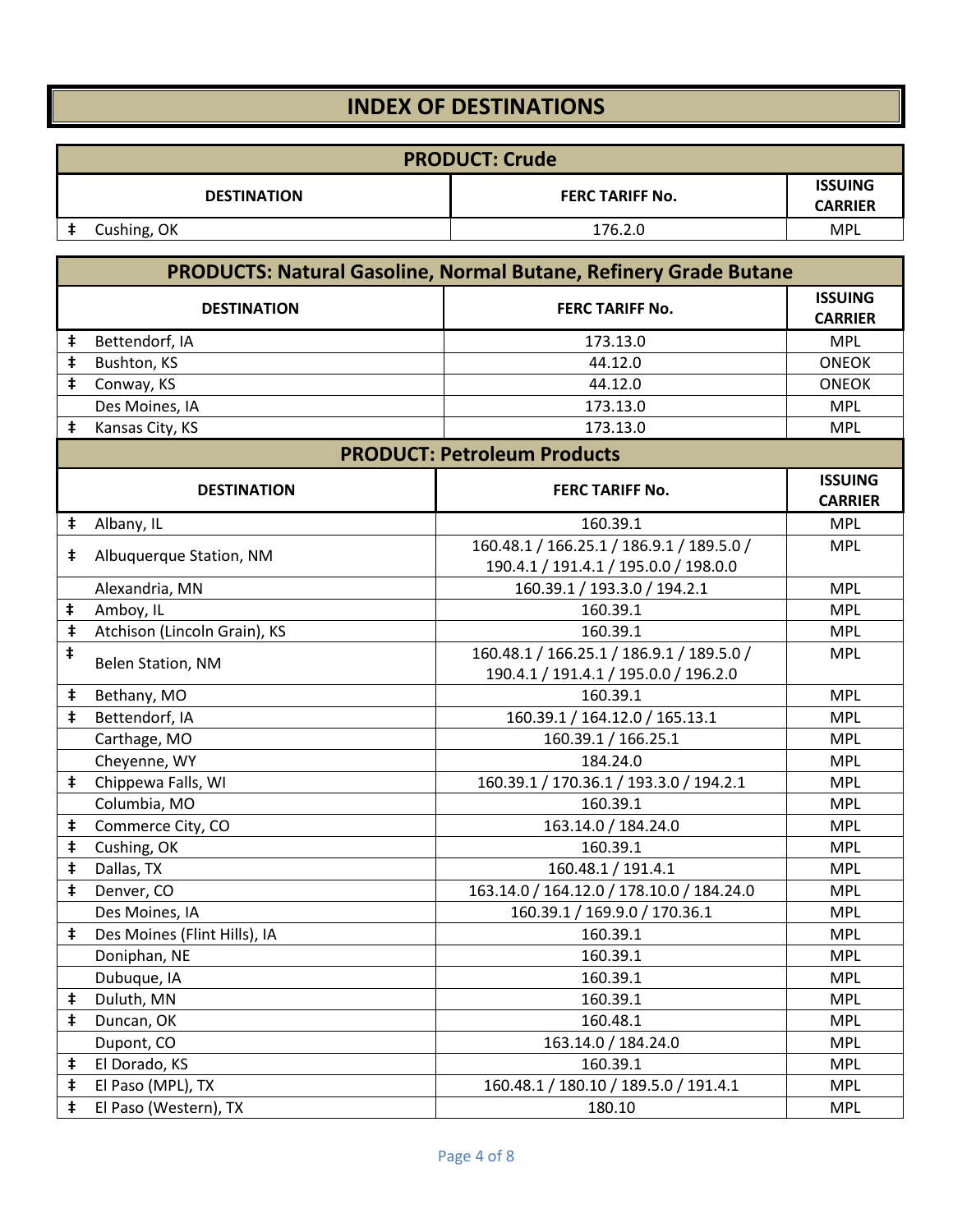### **INDEX OF DESTINATIONS**

|                    | <b>PRODUCT: Crude</b> |                        |                                  |
|--------------------|-----------------------|------------------------|----------------------------------|
| <b>DESTINATION</b> |                       | <b>FERC TARIFF No.</b> | <b>ISSUING</b><br><b>CARRIER</b> |
|                    | Cushing, OK           | 176.2.0                | <b>MPL</b>                       |

|            | <b>PRODUCTS: Natural Gasoline, Normal Butane, Refinery Grade Butane</b> |                                           |                                  |
|------------|-------------------------------------------------------------------------|-------------------------------------------|----------------------------------|
|            | <b>DESTINATION</b>                                                      | <b>FERC TARIFF No.</b>                    | <b>ISSUING</b><br><b>CARRIER</b> |
| ŧ          | Bettendorf, IA                                                          | 173.13.0                                  | <b>MPL</b>                       |
| $\ddagger$ | Bushton, KS                                                             | 44.12.0                                   | <b>ONEOK</b>                     |
| $\ddagger$ | Conway, KS                                                              | 44.12.0                                   | <b>ONEOK</b>                     |
|            | Des Moines, IA                                                          | 173.13.0                                  | <b>MPL</b>                       |
| ŧ          | Kansas City, KS                                                         | 173.13.0                                  | <b>MPL</b>                       |
|            |                                                                         | <b>PRODUCT: Petroleum Products</b>        |                                  |
|            | <b>DESTINATION</b>                                                      | <b>FERC TARIFF No.</b>                    | <b>ISSUING</b><br><b>CARRIER</b> |
| $\ddagger$ | Albany, IL                                                              | 160.39.1                                  | <b>MPL</b>                       |
| ŧ          | Albuquerque Station, NM                                                 | 160.48.1 / 166.25.1 / 186.9.1 / 189.5.0 / | <b>MPL</b>                       |
|            |                                                                         | 190.4.1 / 191.4.1 / 195.0.0 / 198.0.0     |                                  |
|            | Alexandria, MN                                                          | 160.39.1 / 193.3.0 / 194.2.1              | <b>MPL</b>                       |
| ŧ          | Amboy, IL                                                               | 160.39.1                                  | <b>MPL</b>                       |
| $\ddagger$ | Atchison (Lincoln Grain), KS                                            | 160.39.1                                  | <b>MPL</b>                       |
| ŧ          | Belen Station, NM                                                       | 160.48.1 / 166.25.1 / 186.9.1 / 189.5.0 / | <b>MPL</b>                       |
|            |                                                                         | 190.4.1 / 191.4.1 / 195.0.0 / 196.2.0     |                                  |
| ŧ          | Bethany, MO                                                             | 160.39.1                                  | <b>MPL</b>                       |
| $\ddagger$ | Bettendorf, IA                                                          | 160.39.1 / 164.12.0 / 165.13.1            | <b>MPL</b>                       |
|            | Carthage, MO                                                            | 160.39.1 / 166.25.1                       | <b>MPL</b>                       |
|            | Cheyenne, WY                                                            | 184.24.0                                  | <b>MPL</b>                       |
| $\ddagger$ | Chippewa Falls, WI                                                      | 160.39.1 / 170.36.1 / 193.3.0 / 194.2.1   | <b>MPL</b>                       |
|            | Columbia, MO                                                            | 160.39.1                                  | <b>MPL</b>                       |
| ŧ          | Commerce City, CO                                                       | 163.14.0 / 184.24.0                       | <b>MPL</b>                       |
| $\ddagger$ | Cushing, OK                                                             | 160.39.1                                  | <b>MPL</b>                       |
| $\ddagger$ | Dallas, TX                                                              | 160.48.1 / 191.4.1                        | <b>MPL</b>                       |
| $\ddagger$ | Denver, CO                                                              | 163.14.0 / 164.12.0 / 178.10.0 / 184.24.0 | <b>MPL</b>                       |
|            | Des Moines, IA                                                          | 160.39.1 / 169.9.0 / 170.36.1             | <b>MPL</b>                       |
| ŧ          | Des Moines (Flint Hills), IA                                            | 160.39.1                                  | <b>MPL</b>                       |
|            | Doniphan, NE                                                            | 160.39.1                                  | <b>MPL</b>                       |
|            | Dubuque, IA                                                             | 160.39.1                                  | <b>MPL</b>                       |
| ŧ          | Duluth, MN                                                              | 160.39.1                                  | <b>MPL</b>                       |
| $\ddagger$ | Duncan, OK                                                              | 160.48.1                                  | <b>MPL</b>                       |
|            | Dupont, CO                                                              | 163.14.0 / 184.24.0                       | <b>MPL</b>                       |
| $\ddagger$ | El Dorado, KS                                                           | 160.39.1                                  | <b>MPL</b>                       |
| ŧ          | El Paso (MPL), TX                                                       | 160.48.1 / 180.10 / 189.5.0 / 191.4.1     | <b>MPL</b>                       |
| $\ddagger$ | El Paso (Western), TX                                                   | 180.10                                    | <b>MPL</b>                       |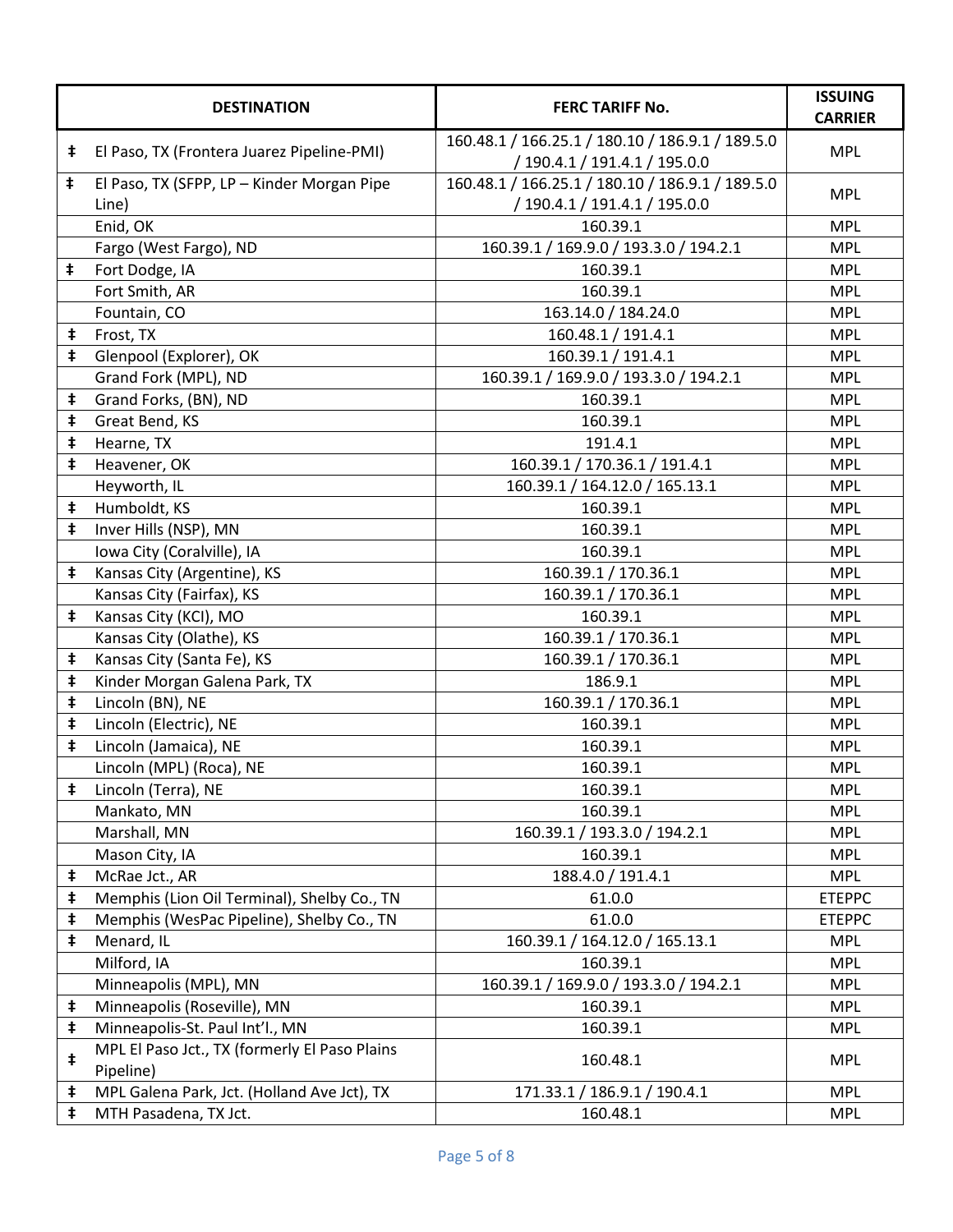|                                                  | <b>DESTINATION</b>                                         | <b>FERC TARIFF No.</b>                           | <b>ISSUING</b><br><b>CARRIER</b> |  |
|--------------------------------------------------|------------------------------------------------------------|--------------------------------------------------|----------------------------------|--|
| ŧ.                                               | El Paso, TX (Frontera Juarez Pipeline-PMI)                 | 160.48.1 / 166.25.1 / 180.10 / 186.9.1 / 189.5.0 | <b>MPL</b>                       |  |
|                                                  |                                                            | / 190.4.1 / 191.4.1 / 195.0.0                    |                                  |  |
| $\ddagger$                                       | El Paso, TX (SFPP, LP - Kinder Morgan Pipe                 | 160.48.1 / 166.25.1 / 180.10 / 186.9.1 / 189.5.0 | <b>MPL</b>                       |  |
|                                                  | Line)                                                      | / 190.4.1 / 191.4.1 / 195.0.0                    |                                  |  |
|                                                  | Enid, OK                                                   | 160.39.1                                         | <b>MPL</b>                       |  |
|                                                  | Fargo (West Fargo), ND                                     | 160.39.1 / 169.9.0 / 193.3.0 / 194.2.1           | <b>MPL</b>                       |  |
| ŧ                                                | Fort Dodge, IA                                             | 160.39.1                                         | <b>MPL</b>                       |  |
|                                                  | Fort Smith, AR                                             | 160.39.1                                         | <b>MPL</b>                       |  |
|                                                  | Fountain, CO                                               | 163.14.0 / 184.24.0                              | <b>MPL</b>                       |  |
| ŧ                                                | Frost, TX                                                  | 160.48.1 / 191.4.1                               | <b>MPL</b>                       |  |
| $\ddagger$                                       | Glenpool (Explorer), OK                                    | 160.39.1 / 191.4.1                               | <b>MPL</b>                       |  |
|                                                  | Grand Fork (MPL), ND                                       | 160.39.1 / 169.9.0 / 193.3.0 / 194.2.1           | <b>MPL</b>                       |  |
| ŧ                                                | Grand Forks, (BN), ND                                      | 160.39.1                                         | <b>MPL</b>                       |  |
| ŧ                                                | Great Bend, KS                                             | 160.39.1                                         | <b>MPL</b>                       |  |
| ŧ                                                | Hearne, TX                                                 | 191.4.1                                          | <b>MPL</b>                       |  |
| ŧ                                                | Heavener, OK                                               | 160.39.1 / 170.36.1 / 191.4.1                    | <b>MPL</b>                       |  |
|                                                  | Heyworth, IL                                               | 160.39.1 / 164.12.0 / 165.13.1                   | <b>MPL</b>                       |  |
| ŧ                                                | Humboldt, KS                                               | 160.39.1                                         | <b>MPL</b>                       |  |
| ŧ                                                | Inver Hills (NSP), MN                                      | 160.39.1                                         | <b>MPL</b>                       |  |
| Iowa City (Coralville), IA<br>160.39.1           |                                                            |                                                  | <b>MPL</b>                       |  |
| ŧ                                                | Kansas City (Argentine), KS                                | 160.39.1 / 170.36.1                              | <b>MPL</b>                       |  |
|                                                  | Kansas City (Fairfax), KS                                  | 160.39.1 / 170.36.1                              | <b>MPL</b>                       |  |
| ŧ                                                | Kansas City (KCI), MO                                      | 160.39.1                                         | <b>MPL</b>                       |  |
|                                                  | Kansas City (Olathe), KS                                   | 160.39.1 / 170.36.1                              | <b>MPL</b>                       |  |
| ŧ                                                | Kansas City (Santa Fe), KS                                 | 160.39.1 / 170.36.1                              | <b>MPL</b>                       |  |
| ŧ<br>Kinder Morgan Galena Park, TX<br>186.9.1    |                                                            |                                                  | <b>MPL</b>                       |  |
| $\ddagger$                                       | Lincoln (BN), NE<br>160.39.1 / 170.36.1                    |                                                  | <b>MPL</b>                       |  |
| $\ddagger$<br>Lincoln (Electric), NE<br>160.39.1 |                                                            |                                                  | <b>MPL</b>                       |  |
| ŧ                                                | Lincoln (Jamaica), NE                                      | 160.39.1                                         | <b>MPL</b>                       |  |
|                                                  | Lincoln (MPL) (Roca), NE                                   | 160.39.1                                         | <b>MPL</b>                       |  |
| ŧ                                                | Lincoln (Terra), NE                                        | 160.39.1                                         | <b>MPL</b>                       |  |
|                                                  | Mankato, MN                                                | 160.39.1                                         | <b>MPL</b>                       |  |
|                                                  | Marshall, MN                                               | 160.39.1 / 193.3.0 / 194.2.1                     | <b>MPL</b>                       |  |
|                                                  | Mason City, IA                                             | 160.39.1                                         | <b>MPL</b>                       |  |
| $\ddagger$                                       | McRae Jct., AR                                             | 188.4.0 / 191.4.1                                | <b>MPL</b>                       |  |
| ŧ                                                | Memphis (Lion Oil Terminal), Shelby Co., TN                | 61.0.0                                           | <b>ETEPPC</b>                    |  |
| ŧ                                                | Memphis (WesPac Pipeline), Shelby Co., TN                  | 61.0.0                                           | <b>ETEPPC</b>                    |  |
| ŧ                                                | Menard, IL                                                 | 160.39.1 / 164.12.0 / 165.13.1                   | <b>MPL</b>                       |  |
|                                                  | Milford, IA                                                | 160.39.1                                         | <b>MPL</b>                       |  |
|                                                  | Minneapolis (MPL), MN                                      | 160.39.1 / 169.9.0 / 193.3.0 / 194.2.1           | <b>MPL</b>                       |  |
| $\ddagger$                                       | Minneapolis (Roseville), MN                                | 160.39.1                                         | <b>MPL</b>                       |  |
| $\ddagger$                                       | Minneapolis-St. Paul Int'l., MN                            | 160.39.1                                         | <b>MPL</b>                       |  |
| $\ddagger$                                       | MPL El Paso Jct., TX (formerly El Paso Plains<br>Pipeline) | 160.48.1                                         | <b>MPL</b>                       |  |
| ŧ                                                | MPL Galena Park, Jct. (Holland Ave Jct), TX                | 171.33.1 / 186.9.1 / 190.4.1                     | <b>MPL</b>                       |  |
| $\ddagger$                                       | MTH Pasadena, TX Jct.                                      | 160.48.1                                         | <b>MPL</b>                       |  |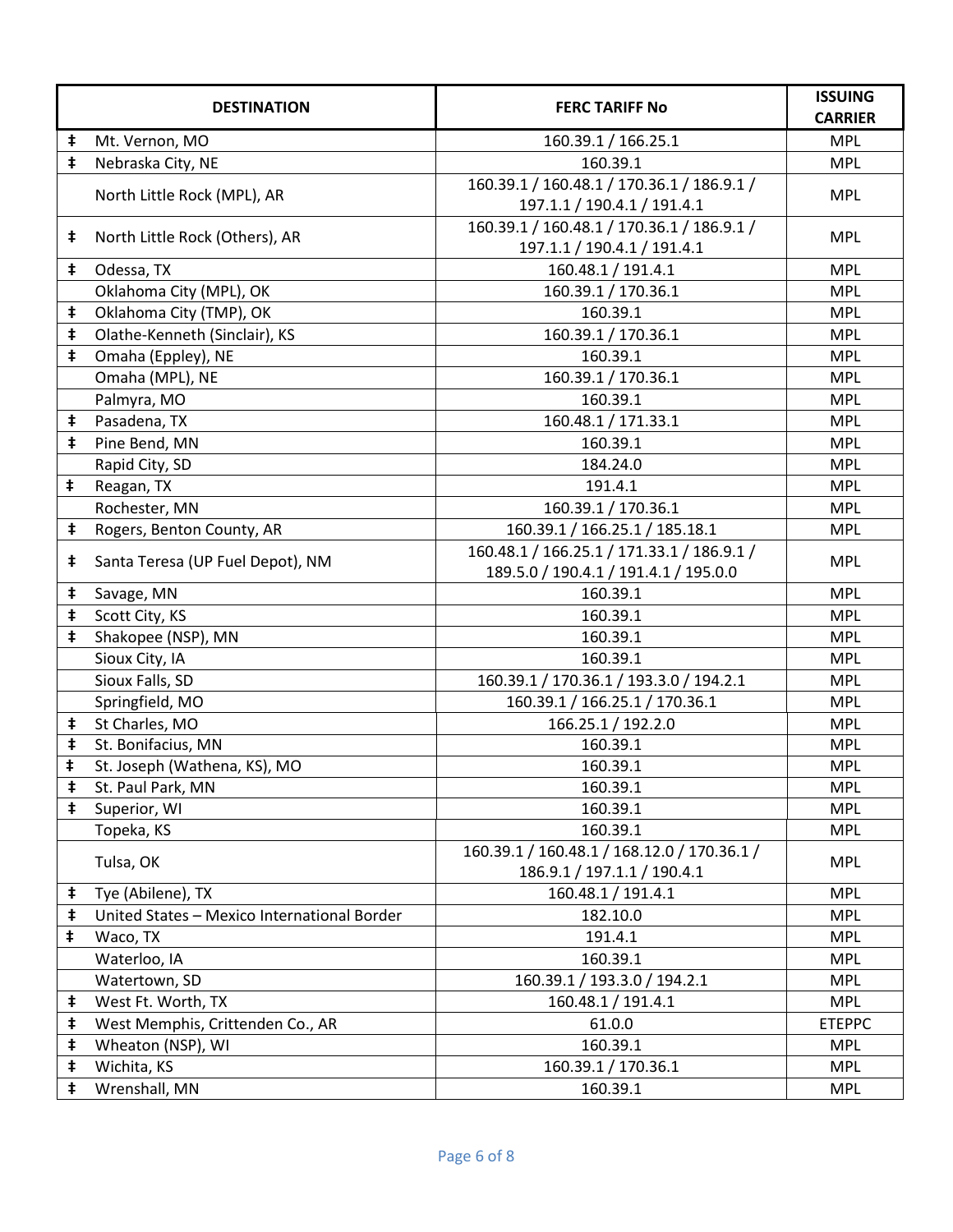|            | <b>DESTINATION</b>                          | <b>FERC TARIFF No</b>                                                      | <b>ISSUING</b><br><b>CARRIER</b> |
|------------|---------------------------------------------|----------------------------------------------------------------------------|----------------------------------|
| ŧ          | Mt. Vernon, MO                              | 160.39.1 / 166.25.1                                                        | <b>MPL</b>                       |
| $\ddagger$ | Nebraska City, NE                           | 160.39.1                                                                   | <b>MPL</b>                       |
|            |                                             | 160.39.1 / 160.48.1 / 170.36.1 / 186.9.1 /                                 |                                  |
|            | North Little Rock (MPL), AR                 | 197.1.1 / 190.4.1 / 191.4.1                                                | <b>MPL</b>                       |
| $\ddagger$ | North Little Rock (Others), AR              | 160.39.1 / 160.48.1 / 170.36.1 / 186.9.1 /                                 | <b>MPL</b>                       |
|            |                                             | 197.1.1 / 190.4.1 / 191.4.1                                                |                                  |
| $\ddagger$ | Odessa, TX                                  | 160.48.1 / 191.4.1                                                         | <b>MPL</b>                       |
|            | Oklahoma City (MPL), OK                     | 160.39.1 / 170.36.1                                                        | <b>MPL</b>                       |
| $\ddagger$ | Oklahoma City (TMP), OK                     | 160.39.1                                                                   | <b>MPL</b>                       |
| $\ddagger$ | Olathe-Kenneth (Sinclair), KS               | 160.39.1 / 170.36.1                                                        | <b>MPL</b>                       |
| $\ddagger$ | Omaha (Eppley), NE                          | 160.39.1                                                                   | <b>MPL</b>                       |
|            | Omaha (MPL), NE                             | 160.39.1 / 170.36.1                                                        | <b>MPL</b>                       |
|            | Palmyra, MO                                 | 160.39.1                                                                   | <b>MPL</b>                       |
| ŧ          | Pasadena, TX                                | 160.48.1 / 171.33.1                                                        | <b>MPL</b>                       |
| ŧ          | Pine Bend, MN                               | 160.39.1                                                                   | <b>MPL</b>                       |
|            | Rapid City, SD                              | 184.24.0                                                                   | <b>MPL</b>                       |
| ŧ          | Reagan, TX                                  | 191.4.1                                                                    | <b>MPL</b>                       |
|            | Rochester, MN                               | 160.39.1 / 170.36.1                                                        | <b>MPL</b>                       |
| $\ddagger$ | Rogers, Benton County, AR                   | 160.39.1 / 166.25.1 / 185.18.1                                             | <b>MPL</b>                       |
| ŧ          | Santa Teresa (UP Fuel Depot), NM            | 160.48.1 / 166.25.1 / 171.33.1 / 186.9.1 /                                 | <b>MPL</b>                       |
|            |                                             | 189.5.0 / 190.4.1 / 191.4.1 / 195.0.0                                      |                                  |
| ŧ          | Savage, MN                                  | 160.39.1                                                                   | <b>MPL</b>                       |
| ŧ          | Scott City, KS                              | 160.39.1                                                                   | <b>MPL</b>                       |
| $\ddagger$ | Shakopee (NSP), MN                          | 160.39.1                                                                   | <b>MPL</b>                       |
|            | Sioux City, IA                              | 160.39.1                                                                   | <b>MPL</b>                       |
|            | Sioux Falls, SD                             | 160.39.1 / 170.36.1 / 193.3.0 / 194.2.1                                    | <b>MPL</b>                       |
|            | Springfield, MO                             | 160.39.1 / 166.25.1 / 170.36.1                                             | <b>MPL</b>                       |
| $\ddagger$ | St Charles, MO                              | 166.25.1 / 192.2.0                                                         | <b>MPL</b>                       |
| $\ddagger$ | St. Bonifacius, MN                          | 160.39.1                                                                   | <b>MPL</b>                       |
| ŧ          | St. Joseph (Wathena, KS), MO                | 160.39.1                                                                   | <b>MPL</b>                       |
| $\ddagger$ | St. Paul Park, MN                           | 160.39.1                                                                   | <b>MPL</b>                       |
| $\ddagger$ | Superior, WI                                | 160.39.1                                                                   | <b>MPL</b>                       |
|            | Topeka, KS                                  | 160.39.1                                                                   | <b>MPL</b>                       |
|            | Tulsa, OK                                   | 160.39.1 / 160.48.1 / 168.12.0 / 170.36.1 /<br>186.9.1 / 197.1.1 / 190.4.1 | <b>MPL</b>                       |
| $\ddagger$ | Tye (Abilene), TX                           | 160.48.1 / 191.4.1                                                         | <b>MPL</b>                       |
| $\ddagger$ | United States - Mexico International Border | 182.10.0                                                                   | <b>MPL</b>                       |
| ŧ          | Waco, TX                                    | 191.4.1                                                                    | <b>MPL</b>                       |
|            | Waterloo, IA                                | 160.39.1                                                                   | <b>MPL</b>                       |
|            | Watertown, SD                               | 160.39.1 / 193.3.0 / 194.2.1                                               | <b>MPL</b>                       |
| $\ddagger$ | West Ft. Worth, TX                          | 160.48.1 / 191.4.1                                                         | <b>MPL</b>                       |
| $\ddagger$ | West Memphis, Crittenden Co., AR            | 61.0.0                                                                     | <b>ETEPPC</b>                    |
| $\ddagger$ | Wheaton (NSP), WI                           | 160.39.1                                                                   | <b>MPL</b>                       |
| $\ddagger$ | Wichita, KS                                 | 160.39.1 / 170.36.1                                                        | <b>MPL</b>                       |
| $\ddagger$ | Wrenshall, MN                               | 160.39.1                                                                   | <b>MPL</b>                       |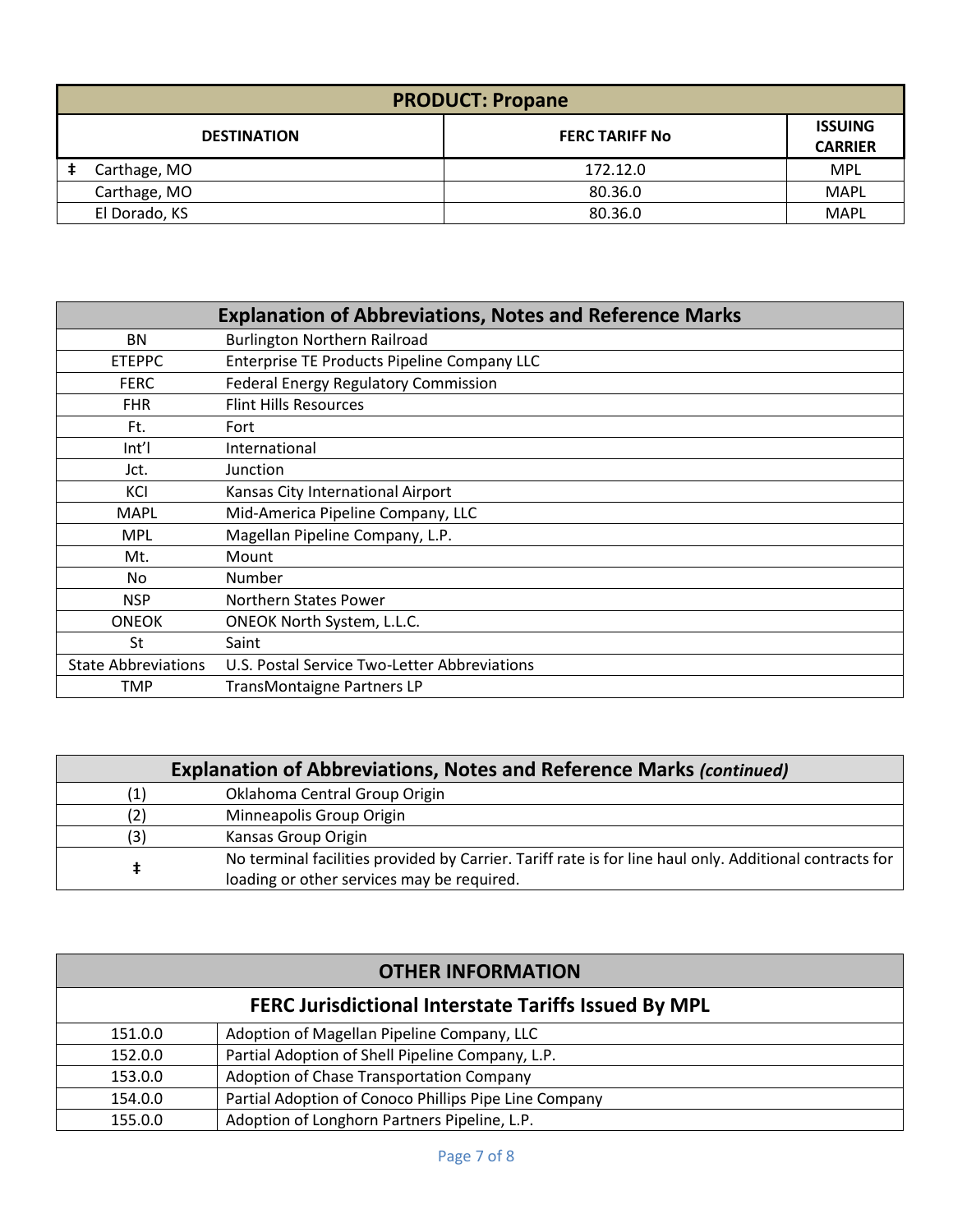| <b>PRODUCT: Propane</b> |                       |                                  |
|-------------------------|-----------------------|----------------------------------|
| <b>DESTINATION</b>      | <b>FERC TARIFF No</b> | <b>ISSUING</b><br><b>CARRIER</b> |
| Carthage, MO            | 172.12.0              | <b>MPL</b>                       |
| Carthage, MO            | 80.36.0               | <b>MAPL</b>                      |
| El Dorado, KS           | 80.36.0               | <b>MAPL</b>                      |

|                            | <b>Explanation of Abbreviations, Notes and Reference Marks</b> |
|----------------------------|----------------------------------------------------------------|
| <b>BN</b>                  | <b>Burlington Northern Railroad</b>                            |
| <b>ETEPPC</b>              | Enterprise TE Products Pipeline Company LLC                    |
| <b>FERC</b>                | <b>Federal Energy Regulatory Commission</b>                    |
| <b>FHR</b>                 | <b>Flint Hills Resources</b>                                   |
| Ft.                        | Fort                                                           |
| Int                        | International                                                  |
| Jct.                       | <b>Junction</b>                                                |
| KCI                        | Kansas City International Airport                              |
| <b>MAPL</b>                | Mid-America Pipeline Company, LLC                              |
| <b>MPL</b>                 | Magellan Pipeline Company, L.P.                                |
| Mt.                        | Mount                                                          |
| No.                        | Number                                                         |
| <b>NSP</b>                 | Northern States Power                                          |
| <b>ONEOK</b>               | <b>ONEOK North System, L.L.C.</b>                              |
| St                         | Saint                                                          |
| <b>State Abbreviations</b> | U.S. Postal Service Two-Letter Abbreviations                   |
| TMP                        | TransMontaigne Partners LP                                     |

|     | <b>Explanation of Abbreviations, Notes and Reference Marks (continued)</b>                                                                            |  |  |
|-----|-------------------------------------------------------------------------------------------------------------------------------------------------------|--|--|
| (1) | Oklahoma Central Group Origin                                                                                                                         |  |  |
|     | Minneapolis Group Origin                                                                                                                              |  |  |
| (3) | Kansas Group Origin                                                                                                                                   |  |  |
|     | No terminal facilities provided by Carrier. Tariff rate is for line haul only. Additional contracts for<br>loading or other services may be required. |  |  |

| <b>OTHER INFORMATION</b>                                    |                                                       |  |
|-------------------------------------------------------------|-------------------------------------------------------|--|
| <b>FERC Jurisdictional Interstate Tariffs Issued By MPL</b> |                                                       |  |
| 151.0.0                                                     | Adoption of Magellan Pipeline Company, LLC            |  |
| 152.0.0                                                     | Partial Adoption of Shell Pipeline Company, L.P.      |  |
| 153.0.0                                                     | Adoption of Chase Transportation Company              |  |
| 154.0.0                                                     | Partial Adoption of Conoco Phillips Pipe Line Company |  |
| 155.0.0                                                     | Adoption of Longhorn Partners Pipeline, L.P.          |  |